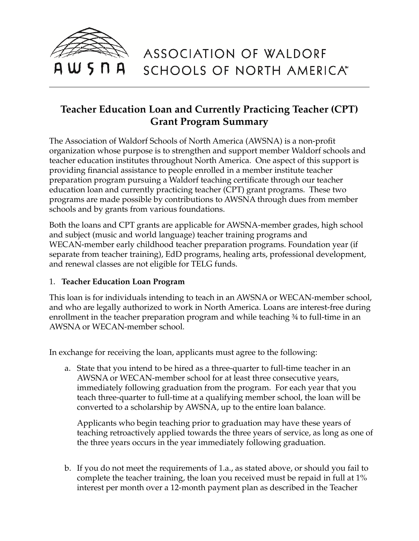

# ASSOCIATION OF WALDORF SCHOOLS OF NORTH AMERICA\*

## **Teacher Education Loan and Currently Practicing Teacher (CPT) Grant Program Summary**

The Association of Waldorf Schools of North America (AWSNA) is a non-profit organization whose purpose is to strengthen and support member Waldorf schools and teacher education institutes throughout North America. One aspect of this support is providing financial assistance to people enrolled in a member institute teacher preparation program pursuing a Waldorf teaching certificate through our teacher education loan and currently practicing teacher (CPT) grant programs. These two programs are made possible by contributions to AWSNA through dues from member schools and by grants from various foundations.

Both the loans and CPT grants are applicable for AWSNA-member grades, high school and subject (music and world language) teacher training programs and WECAN-member early childhood teacher preparation programs. Foundation year (if separate from teacher training), EdD programs, healing arts, professional development, and renewal classes are not eligible for TELG funds.

### 1. **Teacher Education Loan Program**

This loan is for individuals intending to teach in an AWSNA or WECAN-member school, and who are legally authorized to work in North America. Loans are interest-free during enrollment in the teacher preparation program and while teaching ¾ to full-time in an AWSNA or WECAN-member school.

In exchange for receiving the loan, applicants must agree to the following:

a. State that you intend to be hired as a three-quarter to full-time teacher in an AWSNA or WECAN-member school for at least three consecutive years, immediately following graduation from the program. For each year that you teach three-quarter to full-time at a qualifying member school, the loan will be converted to a scholarship by AWSNA, up to the entire loan balance.

Applicants who begin teaching prior to graduation may have these years of teaching retroactively applied towards the three years of service, as long as one of the three years occurs in the year immediately following graduation.

b. If you do not meet the requirements of 1.a., as stated above, or should you fail to complete the teacher training, the loan you received must be repaid in full at 1% interest per month over a 12-month payment plan as described in the Teacher